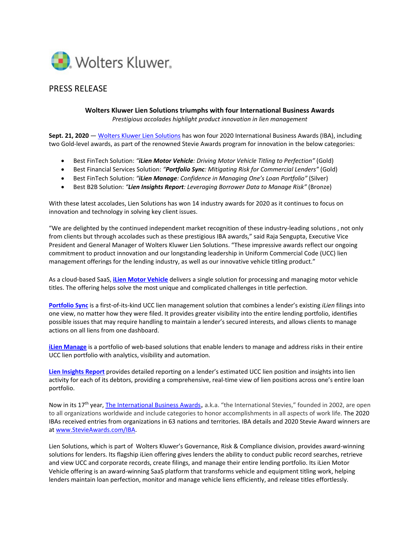

## PRESS RELEASE

**Wolters Kluwer Lien Solutions triumphs with four International Business Awards** *Prestigious accolades highlight product innovation in lien management*

**Sept. 21, 2020** — [Wolters Kluwer Lien Solutions](https://www.liensolutions.com/) has won four 2020 International Business Awards (IBA), including two Gold-level awards, as part of the renowned Stevie Awards program for innovation in the below categories:

- Best FinTech Solution: *"iLien Motor Vehicle: Driving Motor Vehicle Titling to Perfection"* (Gold)
- Best Financial Services Solution: *"Portfolio Sync: Mitigating Risk for Commercial Lenders"* (Gold)
- Best FinTech Solution: *"iLien Manage: Confidence in Managing One's Loan Portfolio"* (Silver)
- Best B2B Solution: *"Lien Insights Report: Leveraging Borrower Data to Manage Risk"* (Bronze)

With these latest accolades, Lien Solutions has won 14 industry awards for 2020 as it continues to focus on innovation and technology in solving key client issues.

"We are delighted by the continued independent market recognition of these industry-leading solutions , not only from clients but through accolades such as these prestigious IBA awards," said Raja Sengupta, Executive Vice President and General Manager of Wolters Kluwer Lien Solutions. "These impressive awards reflect our ongoing commitment to product innovation and our longstanding leadership in Uniform Commercial Code (UCC) lien management offerings for the lending industry, as well as our innovative vehicle titling product."

As a cloud-based SaaS, **[iLien Motor Vehicle](https://www.liensolutions.com/solutions/motor-vehicle-title-management/)** delivers a single solution for processing and managing motor vehicle titles. The offering helps solve the most unique and complicated challenges in title perfection.

**[Portfolio Sync](https://www.liensolutions.com/solutions/lien-management/portfolio-sync/)** is a first-of-its-kind UCC lien management solution that combines a lender's existing *iLien* filings into one view, no matter how they were filed. It provides greater visibility into the entire lending portfolio, identifies possible issues that may require handling to maintain a lender's secured interests, and allows clients to manage actions on all liens from one dashboard.

**[iLien Manage](https://www.liensolutions.com/solutions/lien-management/)** is a portfolio of web-based solutions that enable lenders to manage and address risks in their entire UCC lien portfolio with analytics, visibility and automation.

**[Lien Insights Report](https://www.liensolutions.com/solutions/lien-management/)** provides detailed reporting on a lender's estimated UCC lien position and insights into lien activity for each of its debtors, providing a comprehensive, real-time view of lien positions across one's entire loan portfolio.

Now in its 17<sup>th</sup> year[, The International Business Awards](https://stevieawards.com/iba), a.k.a. "the International Stevies," founded in 2002, are open to all organizations worldwide and include categories to honor accomplishments in all aspects of work life. The 2020 IBAs received entries from organizations in 63 nations and territories. IBA details and 2020 Stevie Award winners are a[t www.StevieAwards.com/IBA.](http://www.stevieawards.com/IBA)

Lien Solutions, which is part of Wolters Kluwer's Governance, Risk & Compliance division, provides award-winning solutions for lenders. Its flagship iLien offering gives lenders the ability to conduct public record searches, retrieve and view UCC and corporate records, create filings, and manage their entire lending portfolio. Its iLien Motor Vehicle offering is an award-winning SaaS platform that transforms vehicle and equipment titling work, helping lenders maintain loan perfection, monitor and manage vehicle liens efficiently, and release titles effortlessly.